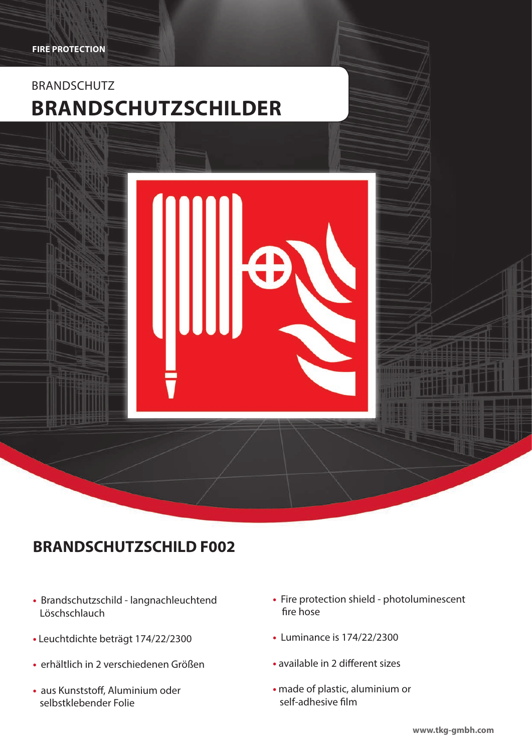

# **BRANDSCHUTZSCHILD F002**

- Brandschutzschild langnachleuchtend Löschschlauch
- Leuchtdichte beträgt 174/22/2300
- erhältlich in 2 verschiedenen Größen
- aus Kunststoff, Aluminium oder selbstklebender Folie
- Fire protection shield photoluminescent fire hose
- Luminance is 174/22/2300
- **•** available in 2 different sizes
- made of plastic, aluminium or self-adhesive film